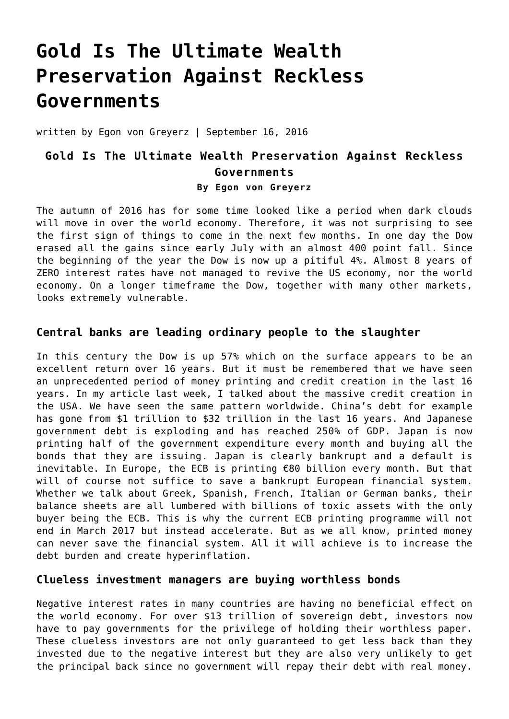# **[Gold Is The Ultimate Wealth](https://goldswitzerland.com/gold-is-the-ultimate-wealth-preservation-against-reckless-governments/) [Preservation Against Reckless](https://goldswitzerland.com/gold-is-the-ultimate-wealth-preservation-against-reckless-governments/) [Governments](https://goldswitzerland.com/gold-is-the-ultimate-wealth-preservation-against-reckless-governments/)**

written by Egon von Greyerz | September 16, 2016

# **Gold Is The Ultimate Wealth Preservation Against Reckless Governments By Egon von Greyerz**

The autumn of 2016 has for some time looked like a period when dark clouds will move in over the world economy. Therefore, it was not surprising to see the first sign of things to come in the next few months. In one day the Dow erased all the gains since early July with an almost 400 point fall. Since the beginning of the year the Dow is now up a pitiful 4%. Almost 8 years of ZERO interest rates have not managed to revive the US economy, nor the world economy. On a longer timeframe the Dow, together with many other markets, looks extremely vulnerable.

# **Central banks are leading ordinary people to the slaughter**

In this century the Dow is up 57% which on the surface appears to be an excellent return over 16 years. But it must be remembered that we have seen an unprecedented period of money printing and credit creation in the last 16 years. [In my article last week, I talked about the massive credit creation in](https://goldswitzerland.com/the-six-presidents-causing-us-bankruptcy/) [the USA.](https://goldswitzerland.com/the-six-presidents-causing-us-bankruptcy/) We have seen the same pattern worldwide. China's debt for example has gone from \$1 trillion to \$32 trillion in the last 16 years. And Japanese government debt is exploding and has reached 250% of GDP. Japan is now printing half of the government expenditure every month and buying all the bonds that they are issuing. Japan is clearly bankrupt and a default is inevitable. In Europe, the ECB is printing €80 billion every month. But that will of course not suffice to save a bankrupt European financial system. Whether we talk about Greek, Spanish, French, Italian or German banks, their balance sheets are all lumbered with billions of toxic assets with the only buyer being the ECB. This is why the current ECB printing programme will not end in March 2017 but instead accelerate. But as we all know, printed money can never save the financial system. All it will achieve is to increase the debt burden and create hyperinflation.

## **Clueless investment managers are buying worthless bonds**

Negative interest rates in many countries are having no beneficial effect on the world economy. For over \$13 trillion of sovereign debt, investors now have to pay governments for the privilege of holding their worthless paper. These clueless investors are not only guaranteed to get less back than they invested due to the negative interest but they are also very unlikely to get the principal back since no government will repay their debt with real money.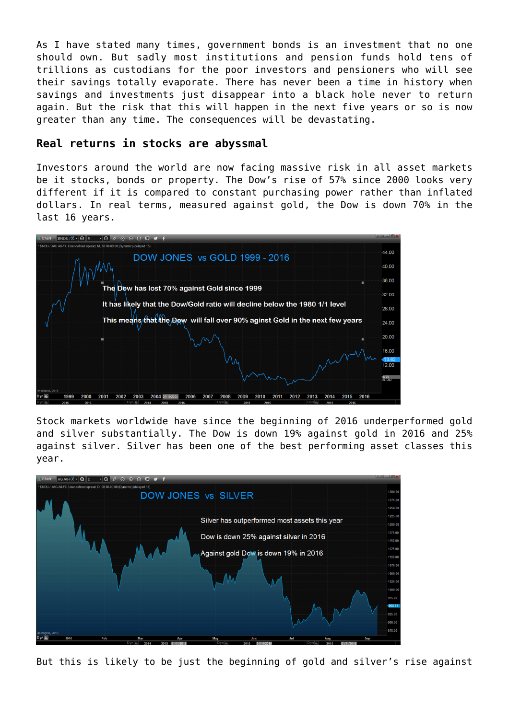As I have stated many times, government bonds is an investment that no one should own. But sadly most institutions and pension funds hold tens of trillions as custodians for the poor investors and pensioners who will see their savings totally evaporate. There has never been a time in history when savings and investments just disappear into a black hole never to return again. But the risk that this will happen in the next five years or so is now greater than any time. The consequences will be devastating.

#### **Real returns in stocks are abyssmal**

Investors around the world are now facing massive risk in all asset markets be it stocks, bonds or property. The Dow's rise of 57% since 2000 looks very different if it is compared to constant purchasing power rather than inflated dollars. In real terms, measured against gold, the Dow is down 70% in the last 16 years.



Stock markets worldwide have since the beginning of 2016 underperformed gold and silver substantially. The Dow is down 19% against gold in 2016 and 25% against silver. Silver has been one of the best performing asset classes this year.



But this is likely to be just the beginning of gold and silver's rise against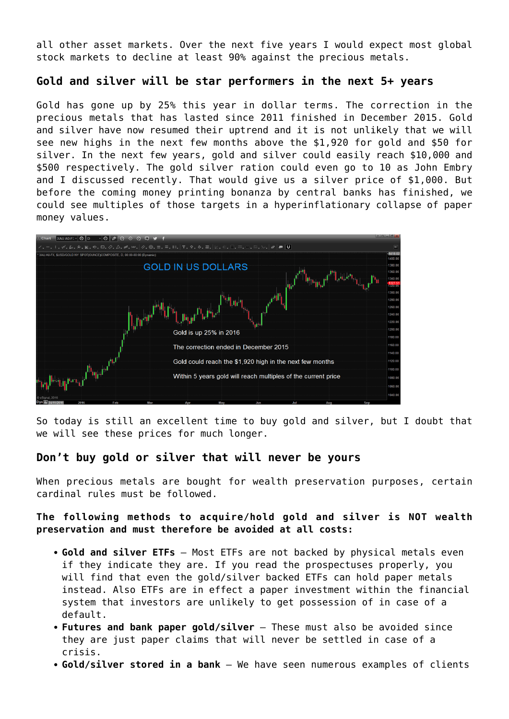all other asset markets. Over the next five years I would expect most global stock markets to decline at least 90% against the precious metals.

# **Gold and silver will be star performers in the next 5+ years**

Gold has gone up by 25% this year in dollar terms. The correction in the precious metals that has lasted since 2011 finished in December 2015. Gold and silver have now resumed their uptrend and it is not unlikely that we will see new highs in the next few months above the \$1,920 for gold and \$50 for silver. In the next few years, gold and silver could easily reach \$10,000 and \$500 respectively. [The gold silver ration could even go to 10 as John Embry](https://www.youtube.com/watch?v=J8kNPjyprLg) [and I discussed recently.](https://www.youtube.com/watch?v=J8kNPjyprLg) That would give us a silver price of \$1,000. But before the coming money printing bonanza by central banks has finished, we could see multiples of those targets in a hyperinflationary collapse of paper money values.



So today is still an excellent time to buy gold and silver, but I doubt that we will see these prices for much longer.

# **Don't buy gold or silver that will never be yours**

When precious metals are bought for wealth preservation purposes, certain cardinal rules must be followed.

**The following methods to acquire/hold gold and silver is NOT wealth preservation and must therefore be avoided at all costs:**

- **Gold and silver ETFs** Most ETFs are not backed by physical metals even if they indicate they are. If you read the prospectuses properly, you will find that even the gold/silver backed ETFs can hold paper metals instead. Also ETFs are in effect a paper investment within the financial system that investors are unlikely to get possession of in case of a default.
- **Futures and bank paper gold/silver** These must also be avoided since they are just paper claims that will never be settled in case of a crisis.
- **Gold/silver stored in a bank**  We have seen numerous examples of clients